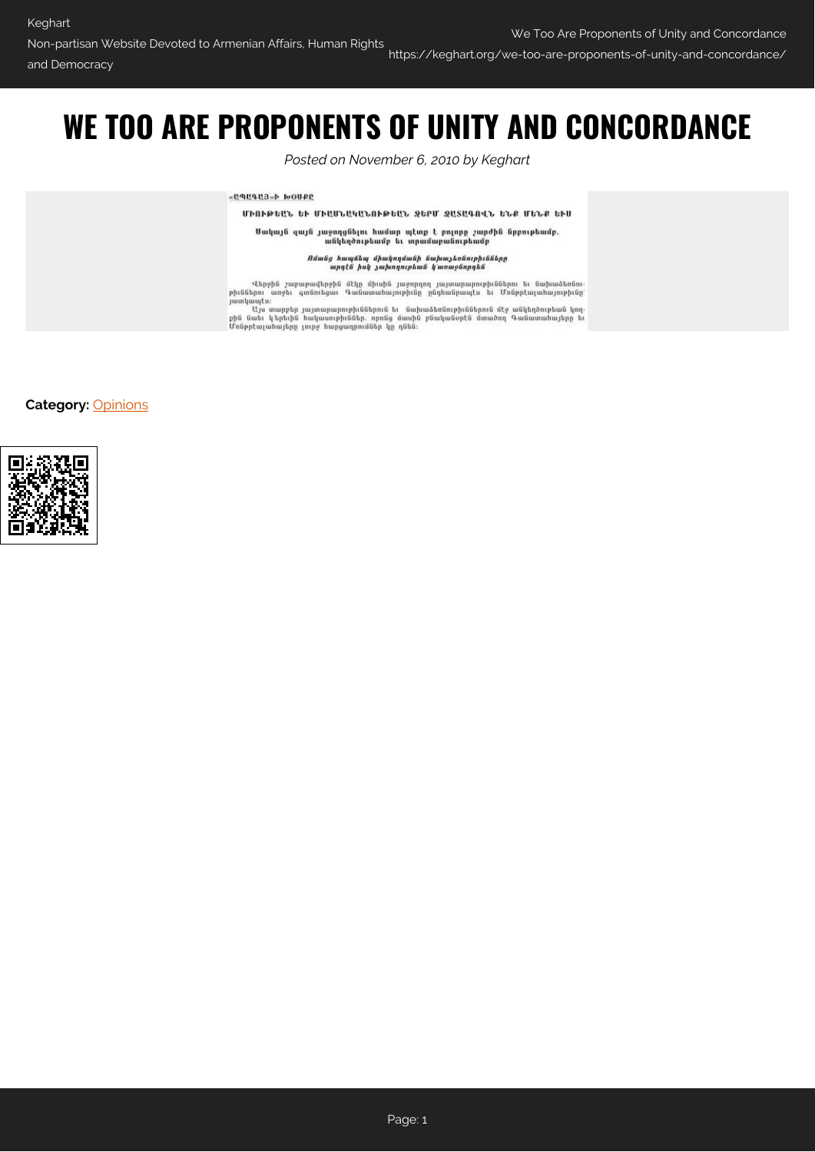https://keghart.org/we-too-are-proponents-of-unity-and-concordance/

## **WE TOO ARE PROPONENTS OF UNITY AND CONCORDANCE**

*Posted on November 6, 2010 by Keghart*

«ЦЛЦФЦЗ»Ь IvOURE

ՄԻՈՒԹԵԱՆ ԵՒ ՄԻԱՍՆԱԿԱՆՈՒԹԵԱՆ ՋԵԲՄ ՋԱՏԱԳՈՎՆ ԵՆՔ ՄԵՆՔ ԵՒՍ

Սակայն զայն յաջողցնելու համար պէտք է բոլորը շարժին նրբութեամբ.<br>անկեղծութեամբ եւ տրամաբանութեամբ

Ոմանց հապճեպ միակողմանի նախաչեոնութիւնները<br>արդէն իսկ չախողութեան կառաջնորդեն

Վերջին շաբաթավերջին մէկը միսին յաջորդող յայտարարութիւններու եւ նախաձեռնութիւններու առջեւ գտնուեցաւ Գանատահայութիւնը ընդհանրապէս։<br>յատկապէս։<br>յատկապէս։<br>Մյս տարբեր յայտարարութիւններուն եւ նախաձեռնութիւններուն մէջ անկեղծութեան

**Category:** [Opinions](https://keghart.org/category/opinions/)

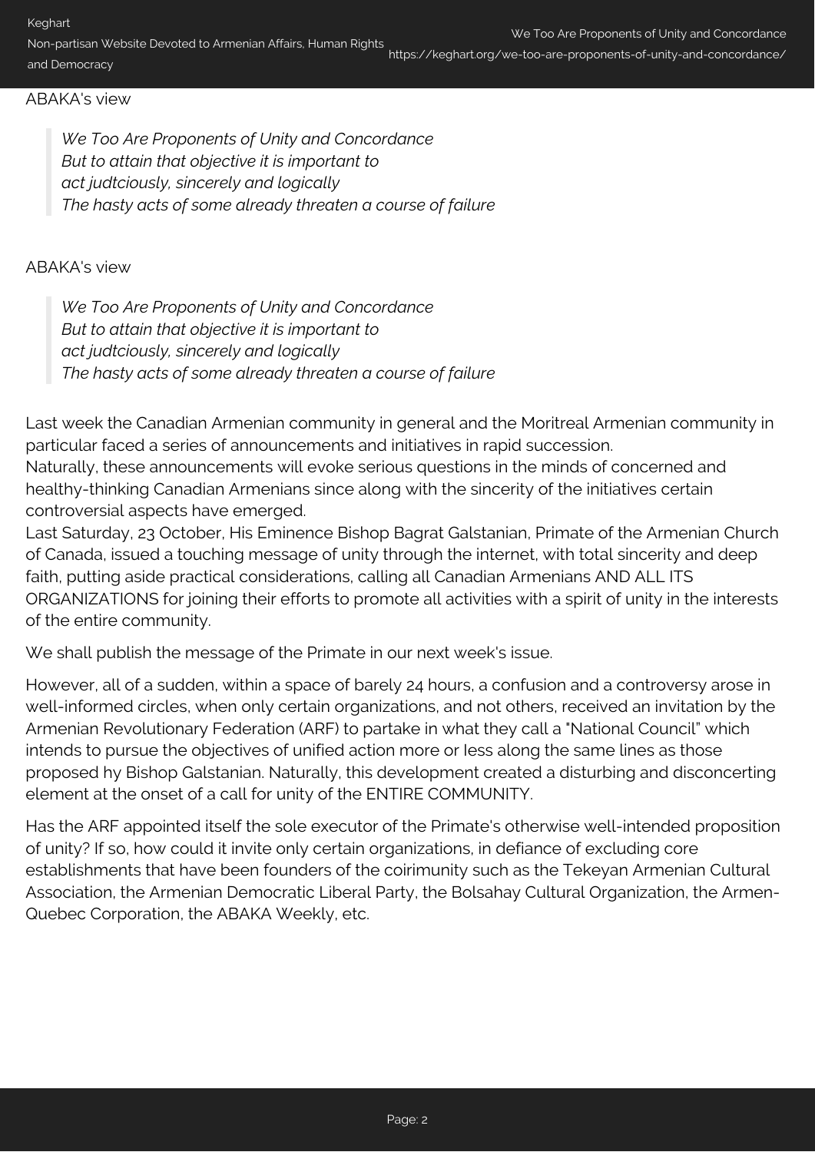https://keghart.org/we-too-are-proponents-of-unity-and-concordance/

## ABAKA's view

*We Too Are Proponents of Unity and Concordance But to attain that objective it is important to act judtciously, sincerely and logically The hasty acts of some already threaten a course of failure*

## ABAKA's view

*We Too Are Proponents of Unity and Concordance But to attain that objective it is important to act judtciously, sincerely and logically The hasty acts of some already threaten a course of failure*

Last week the Canadian Armenian community in general and the Moritreal Armenian community in particular faced a series of announcements and initiatives in rapid succession. Naturally, these announcements will evoke serious questions in the minds of concerned and

healthy-thinking Canadian Armenians since along with the sincerity of the initiatives certain controversial aspects have emerged.

Last Saturday, 23 October, His Eminence Bishop Bagrat Galstanian, Primate of the Armenian Church of Canada, issued a touching message of unity through the internet, with total sincerity and deep faith, putting aside practical considerations, calling all Canadian Armenians AND ALL ITS ORGANIZATIONS for joining their efforts to promote all activities with a spirit of unity in the interests of the entire community.

We shall publish the message of the Primate in our next week's issue.

However, all of a sudden, within a space of barely 24 hours, a confusion and a controversy arose in well-informed circles, when only certain organizations, and not others, received an invitation by the Armenian Revolutionary Federation (ARF) to partake in what they call a "National Council" which intends to pursue the objectives of unified action more or Iess along the same lines as those proposed hy Bishop Galstanian. Naturally, this development created a disturbing and disconcerting element at the onset of a call for unity of the ENTIRE COMMUNITY.

Has the ARF appointed itself the sole executor of the Primate's otherwise well-intended proposition of unity? If so, how could it invite only certain organizations, in defiance of excluding core establishments that have been founders of the coirimunity such as the Tekeyan Armenian Cultural Association, the Armenian Democratic Liberal Party, the Bolsahay Cultural Organization, the Armen-Quebec Corporation, the ABAKA Weekly, etc.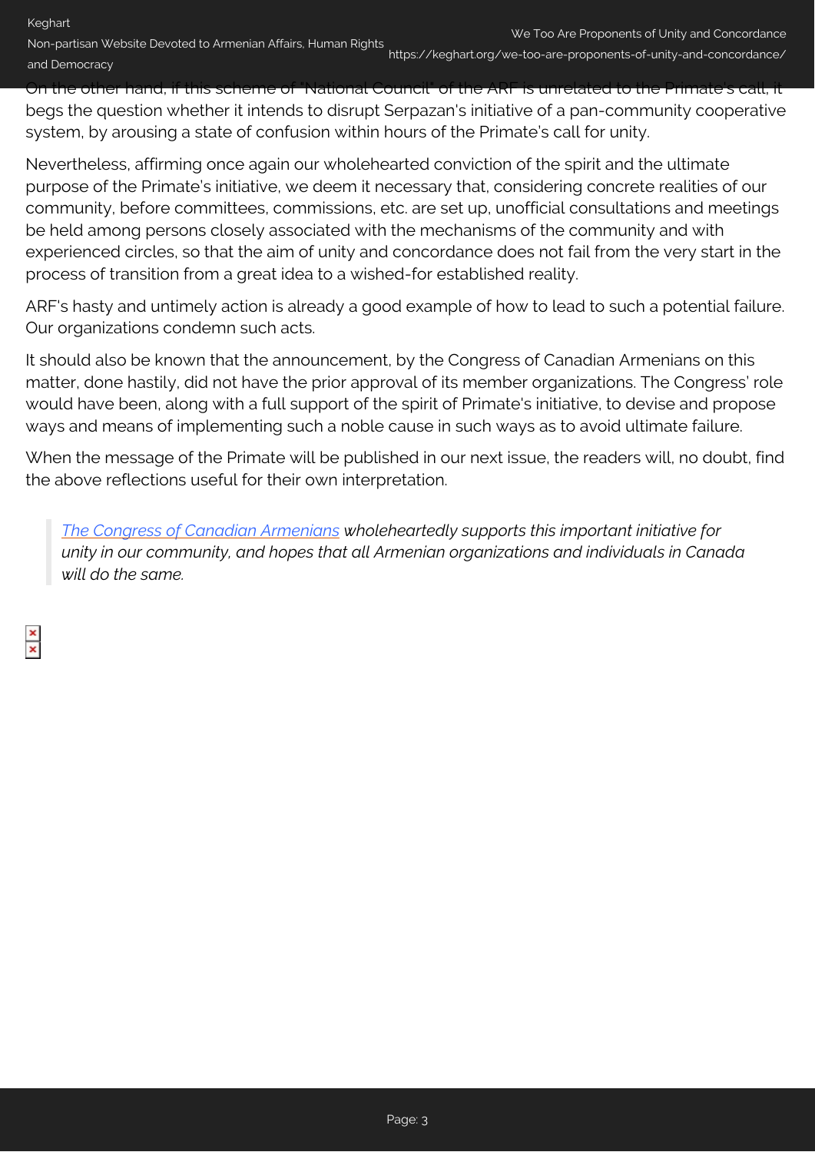On the other hand, if this scheme of "National Council" of the ARF is unrelated to the Primate's call, it begs the question whether it intends to disrupt Serpazan's initiative of a pan-community cooperative system, by arousing a state of confusion within hours of the Primate's call for unity.

Nevertheless, affirming once again our wholehearted conviction of the spirit and the ultimate purpose of the Primate's initiative, we deem it necessary that, considering concrete realities of our community, before committees, commissions, etc. are set up, unofficial consultations and meetings be held among persons closely associated with the mechanisms of the community and with experienced circles, so that the aim of unity and concordance does not fail from the very start in the process of transition from a great idea to a wished-for established reality.

ARF's hasty and untimely action is already a good example of how to lead to such a potential failure. Our organizations condemn such acts.

It should also be known that the announcement, by the Congress of Canadian Armenians on this matter, done hastily, did not have the prior approval of its member organizations. The Congress' role would have been, along with a full support of the spirit of Primate's initiative, to devise and propose ways and means of implementing such a noble cause in such ways as to avoid ultimate failure.

When the message of the Primate will be published in our next issue, the readers will, no doubt, find the above reflections useful for their own interpretation.

*[The Congress of Canadian Armenians](http://canarmcongress.com/modules/news/article.php?storyid=112) wholeheartedly supports this important initiative for unity in our community, and hopes that all Armenian organizations and individuals in Canada will do the same.*